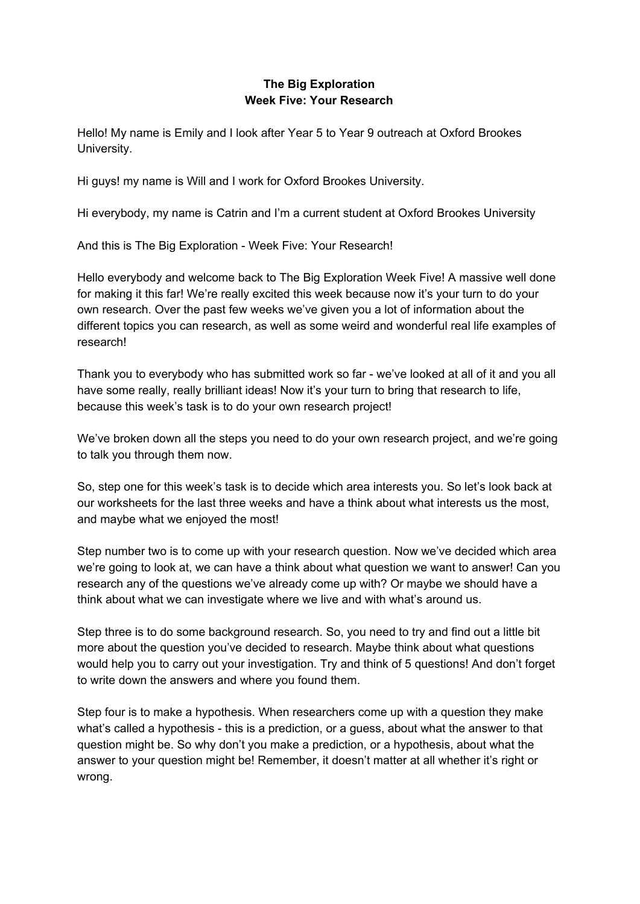## **The Big Exploration Week Five: Your Research**

Hello! My name is Emily and I look after Year 5 to Year 9 outreach at Oxford Brookes University.

Hi guys! my name is Will and I work for Oxford Brookes University.

Hi everybody, my name is Catrin and I'm a current student at Oxford Brookes University

And this is The Big Exploration - Week Five: Your Research!

Hello everybody and welcome back to The Big Exploration Week Five! A massive well done for making it this far! We're really excited this week because now it's your turn to do your own research. Over the past few weeks we've given you a lot of information about the different topics you can research, as well as some weird and wonderful real life examples of research!

Thank you to everybody who has submitted work so far - we've looked at all of it and you all have some really, really brilliant ideas! Now it's your turn to bring that research to life, because this week's task is to do your own research project!

We've broken down all the steps you need to do your own research project, and we're going to talk you through them now.

So, step one for this week's task is to decide which area interests you. So let's look back at our worksheets for the last three weeks and have a think about what interests us the most, and maybe what we enjoyed the most!

Step number two is to come up with your research question. Now we've decided which area we're going to look at, we can have a think about what question we want to answer! Can you research any of the questions we've already come up with? Or maybe we should have a think about what we can investigate where we live and with what's around us.

Step three is to do some background research. So, you need to try and find out a little bit more about the question you've decided to research. Maybe think about what questions would help you to carry out your investigation. Try and think of 5 questions! And don't forget to write down the answers and where you found them.

Step four is to make a hypothesis. When researchers come up with a question they make what's called a hypothesis - this is a prediction, or a guess, about what the answer to that question might be. So why don't you make a prediction, or a hypothesis, about what the answer to your question might be! Remember, it doesn't matter at all whether it's right or wrong.